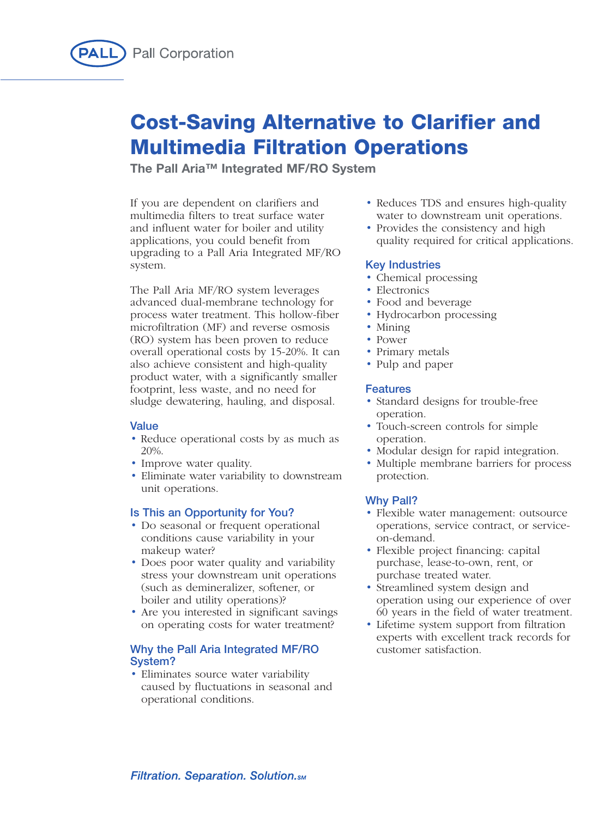

# **Cost-Saving Alternative to Clarifier and Multimedia Filtration Operations**

**The Pall Aria™ Integrated MF/RO System**

If you are dependent on clarifiers and multimedia filters to treat surface water and influent water for boiler and utility applications, you could benefit from upgrading to a Pall Aria Integrated MF/RO system.

The Pall Aria MF/RO system leverages advanced dual-membrane technology for process water treatment. This hollow-fiber microfiltration (MF) and reverse osmosis (RO) system has been proven to reduce overall operational costs by 15-20%. It can also achieve consistent and high-quality product water, with a significantly smaller footprint, less waste, and no need for sludge dewatering, hauling, and disposal.

# **Value**

- Reduce operational costs by as much as 20%.
- Improve water quality.
- Eliminate water variability to downstream unit operations.

## **Is This an Opportunity for You?**

- Do seasonal or frequent operational conditions cause variability in your makeup water?
- Does poor water quality and variability stress your downstream unit operations (such as demineralizer, softener, or boiler and utility operations)?
- Are you interested in significant savings on operating costs for water treatment?

## **Why the Pall Aria Integrated MF/RO System?**

• Eliminates source water variability caused by fluctuations in seasonal and operational conditions.

- Reduces TDS and ensures high-quality water to downstream unit operations.
- Provides the consistency and high quality required for critical applications.

## **Key Industries**

- Chemical processing
- Electronics
- Food and beverage
- Hydrocarbon processing
- Mining
- Power
- Primary metals
- Pulp and paper

#### **Features**

- Standard designs for trouble-free operation.
- Touch-screen controls for simple operation.
- Modular design for rapid integration.
- Multiple membrane barriers for process protection.

## **Why Pall?**

- Flexible water management: outsource operations, service contract, or serviceon-demand.
- Flexible project financing: capital purchase, lease-to-own, rent, or purchase treated water.
- Streamlined system design and operation using our experience of over 60 years in the field of water treatment.
- Lifetime system support from filtration experts with excellent track records for customer satisfaction.